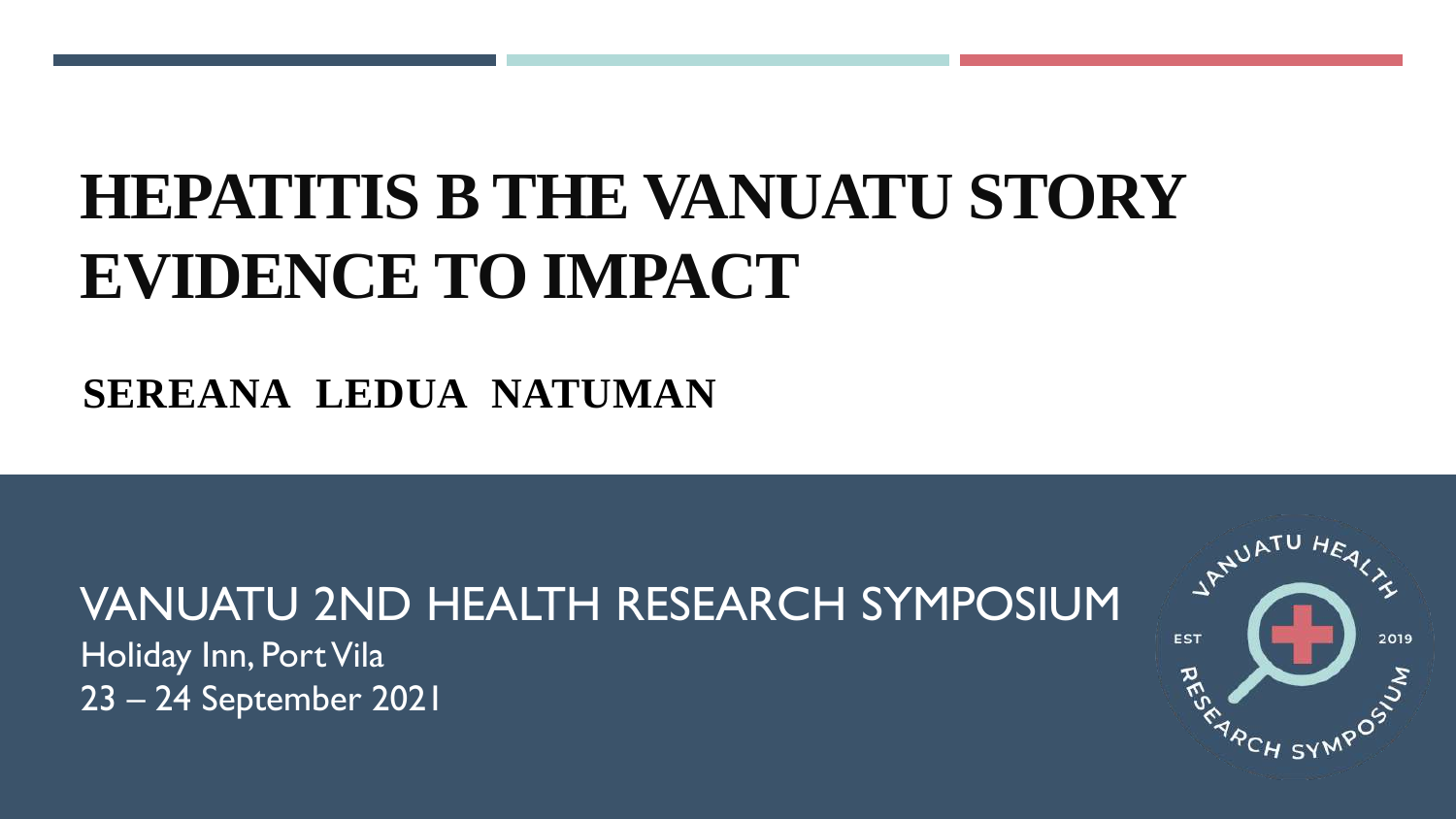# **HEPATITIS B THE VANUATU STORY EVIDENCE TO IMPACT**

## **SEREANA LEDUA NATUMAN**

## VANUATU 2ND HEALTH RESEARCH SYMPOSIUM

Holiday Inn, Port Vila 23 – 24 September 2021

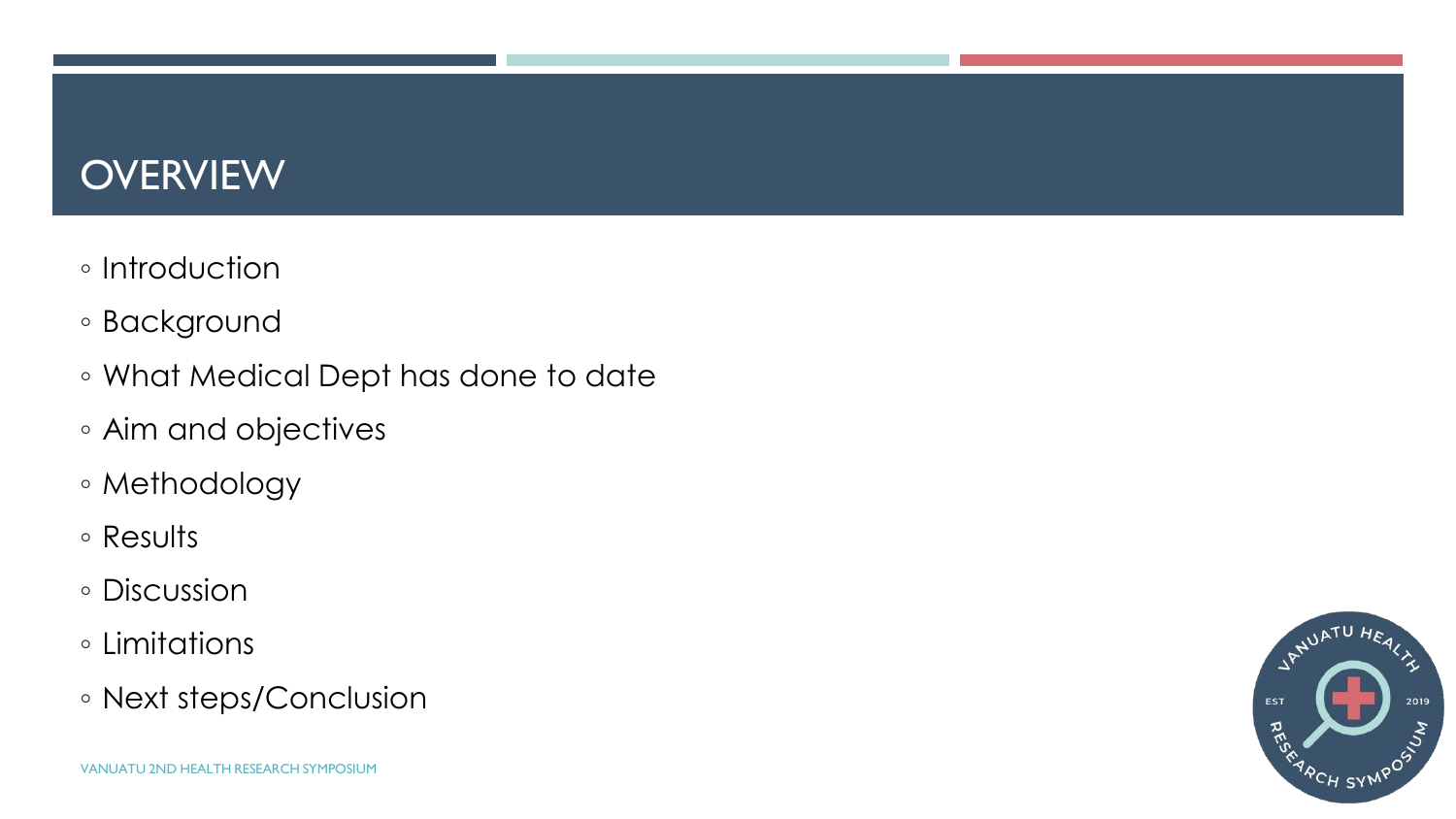## **OVERVIEW**

- Introduction
- Background
- What Medical Dept has done to date
- Aim and objectives
- Methodology
- Results
- Discussion
- Limitations
- Next steps/Conclusion

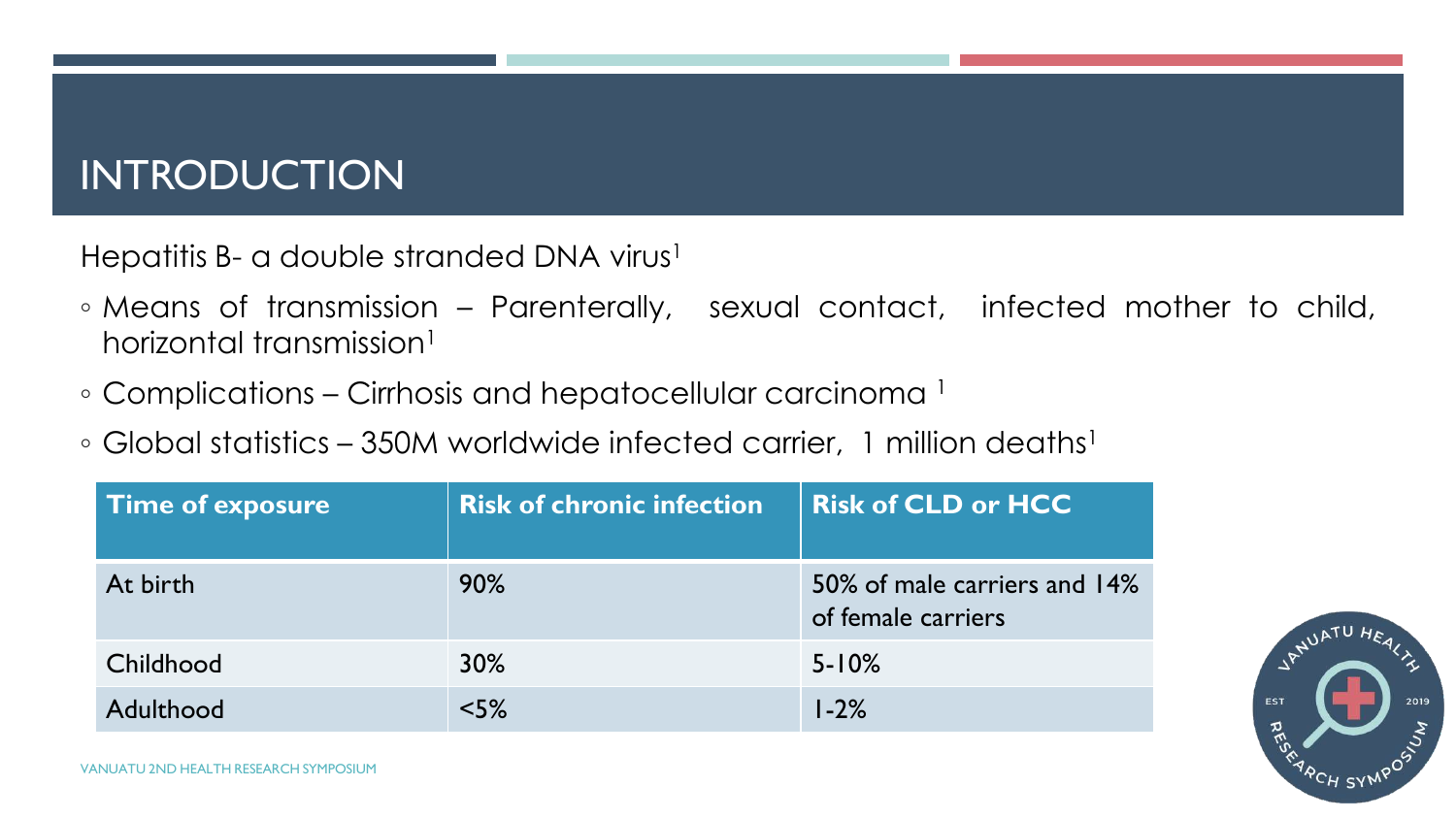## INTRODUCTION

Hepatitis B- a double stranded DNA virus<sup>1</sup>

- Means of transmission Parenterally, sexual contact, infected mother to child, horizontal transmission<sup>1</sup>
- Complications Cirrhosis and hepatocellular carcinoma <sup>1</sup>
- $\circ$  Global statistics 350M worldwide infected carrier, 1 million deaths<sup>1</sup>

| <b>Time of exposure</b> | <b>Risk of chronic infection</b> | <b>Risk of CLD or HCC</b>                          |
|-------------------------|----------------------------------|----------------------------------------------------|
| At birth                | $90\%$                           | 50% of male carriers and 14%<br>of female carriers |
| Childhood               | $30\%$                           | $5 - 10%$                                          |
| Adulthood               | $<$ 5%                           | $1 - 2%$                                           |

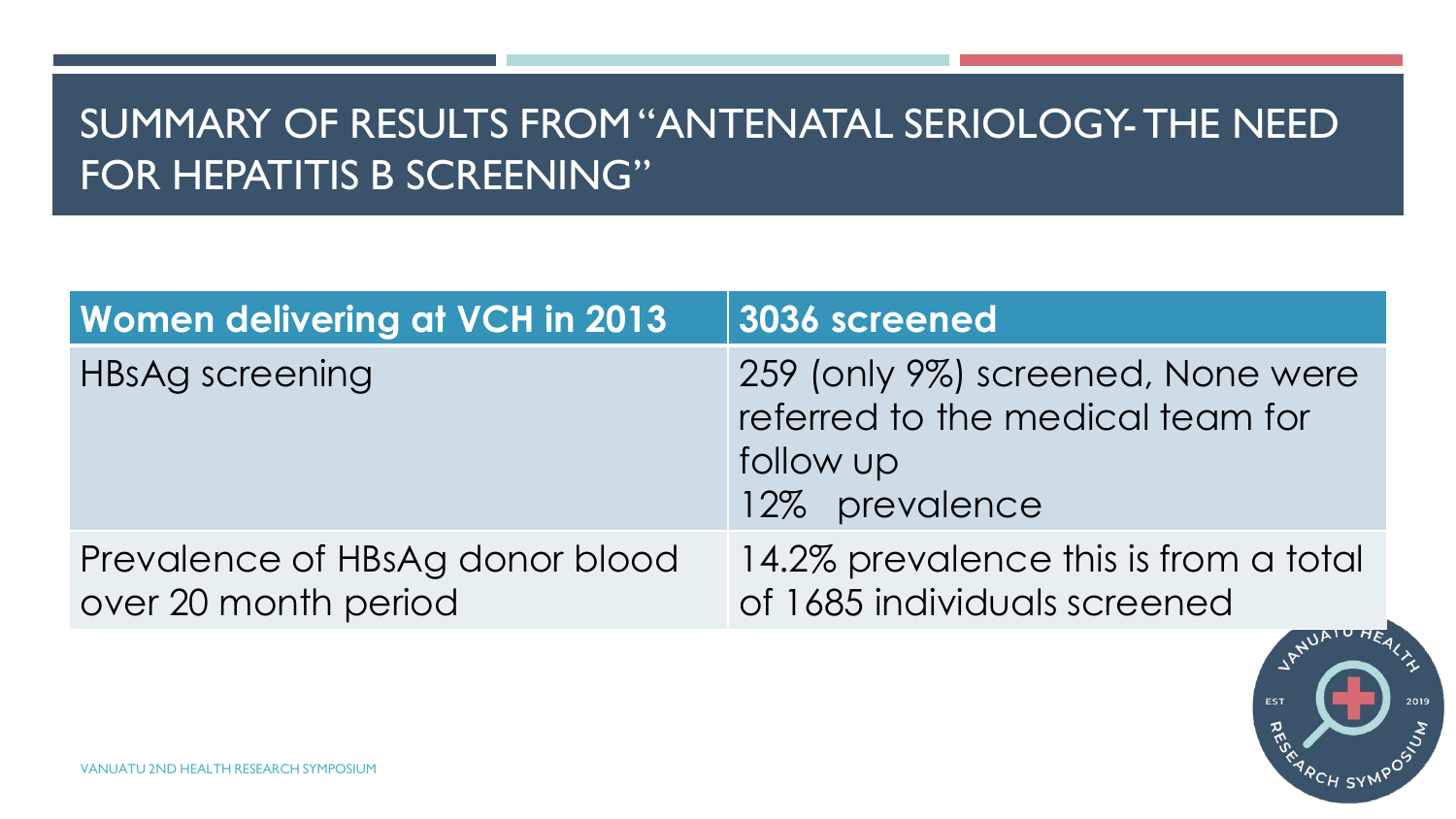## SUMMARY OF RESULTS FROM "ANTENATAL SERIOLOGY-THE NEED FOR HEPATITIS B SCREENING"

| <b>Women delivering at VCH in 2013</b>                  | 3036 screened                                                                                        |
|---------------------------------------------------------|------------------------------------------------------------------------------------------------------|
| HBsAg screening                                         | 259 (only 9%) screened, None were<br>referred to the medical team for<br>follow up<br>12% prevalence |
| Prevalence of HBsAg donor blood<br>over 20 month period | 14.2% prevalence this is from a total<br>of 1685 individuals screened                                |

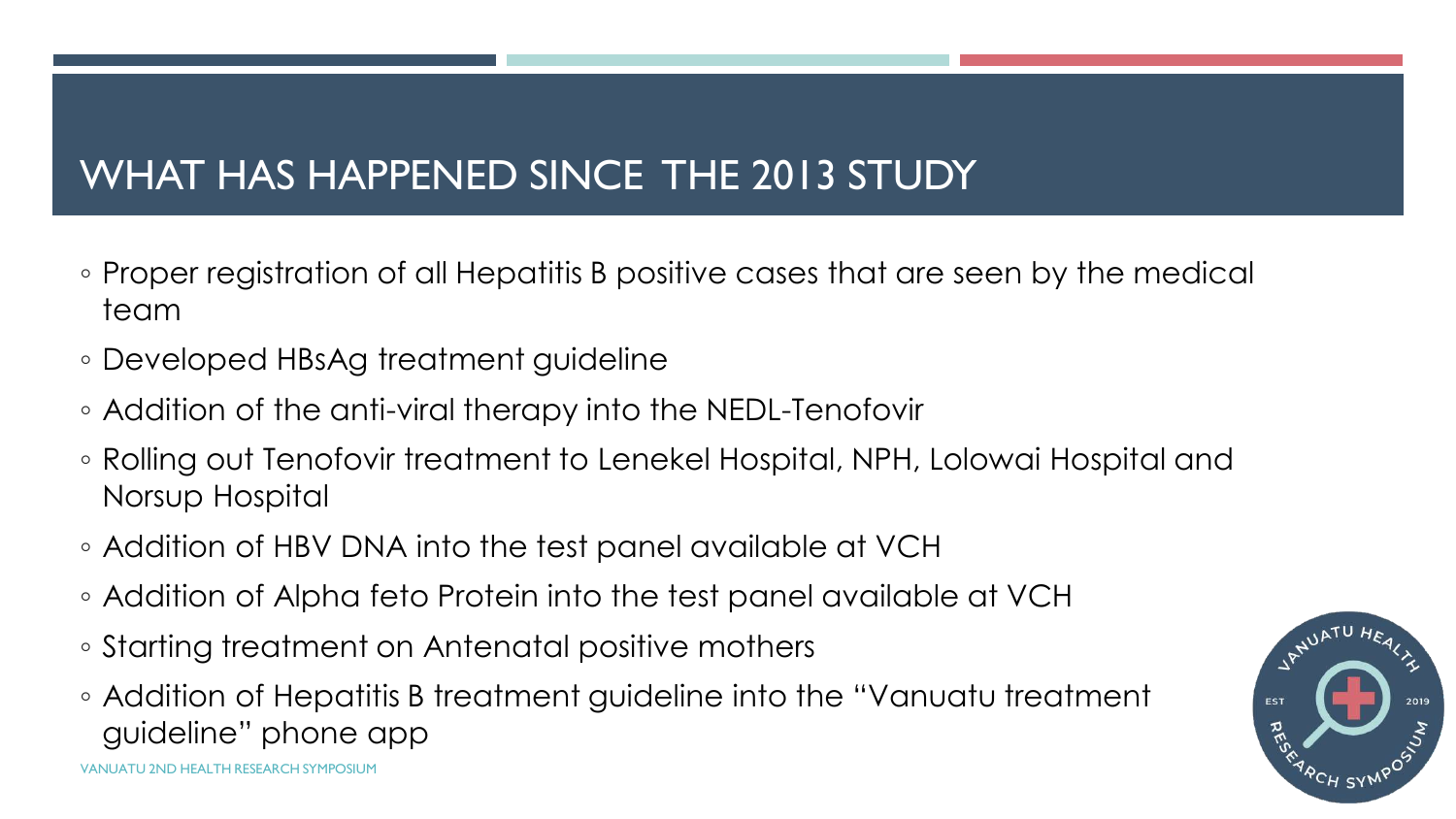## WHAT HAS HAPPENED SINCE THE 2013 STUDY

- Proper registration of all Hepatitis B positive cases that are seen by the medical team
- Developed HBsAg treatment guideline
- Addition of the anti-viral therapy into the NEDL-Tenofovir
- Rolling out Tenofovir treatment to Lenekel Hospital, NPH, Lolowai Hospital and Norsup Hospital
- Addition of HBV DNA into the test panel available at VCH
- Addition of Alpha feto Protein into the test panel available at VCH
- Starting treatment on Antenatal positive mothers
- Addition of Hepatitis B treatment guideline into the "Vanuatu treatment guideline" phone app

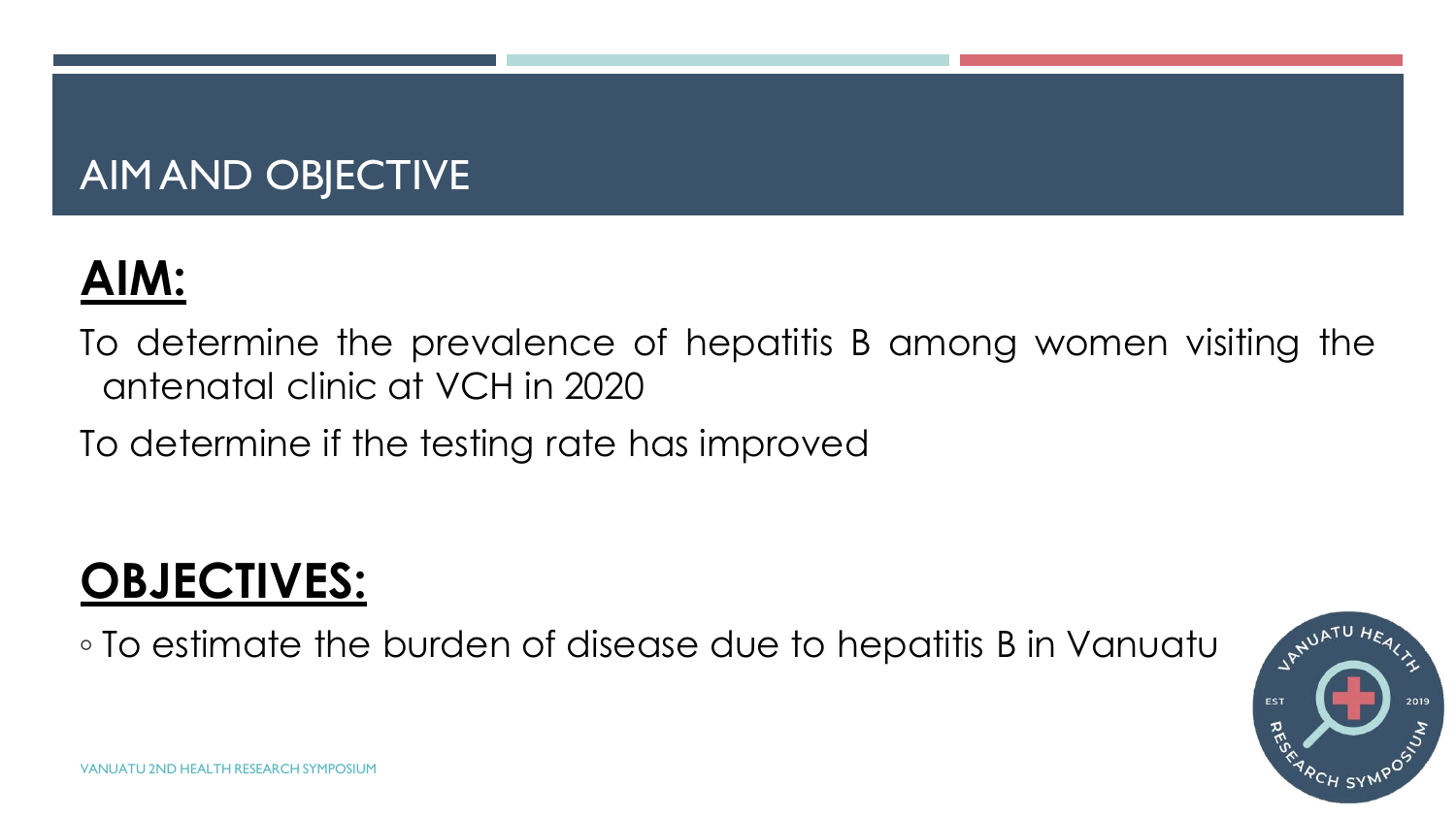## AIM AND OBJECTIVE

## **AIM:**

To determine the prevalence of hepatitis B among women visiting the antenatal clinic at VCH in 2020

To determine if the testing rate has improved

## **OBJECTIVES:**

◦ To estimate the burden of disease due to hepatitis B in Vanuatu

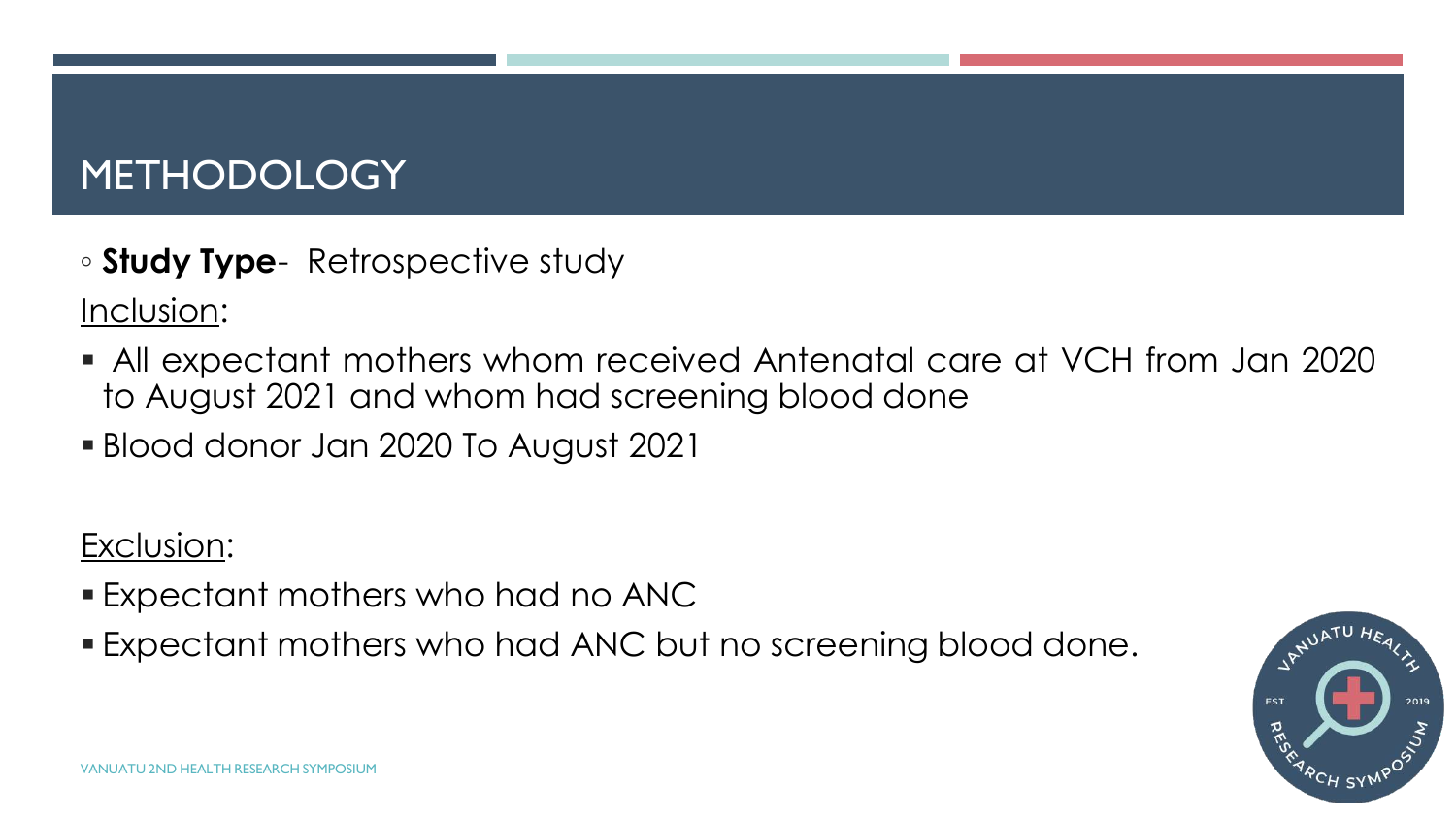## METHODOLOGY

◦ **Study Type**- Retrospective study

Inclusion:

- All expectant mothers whom received Antenatal care at VCH from Jan 2020 to August 2021 and whom had screening blood done
- Blood donor Jan 2020 To August 2021

Exclusion:

- Expectant mothers who had no ANC
- Expectant mothers who had ANC but no screening blood done.

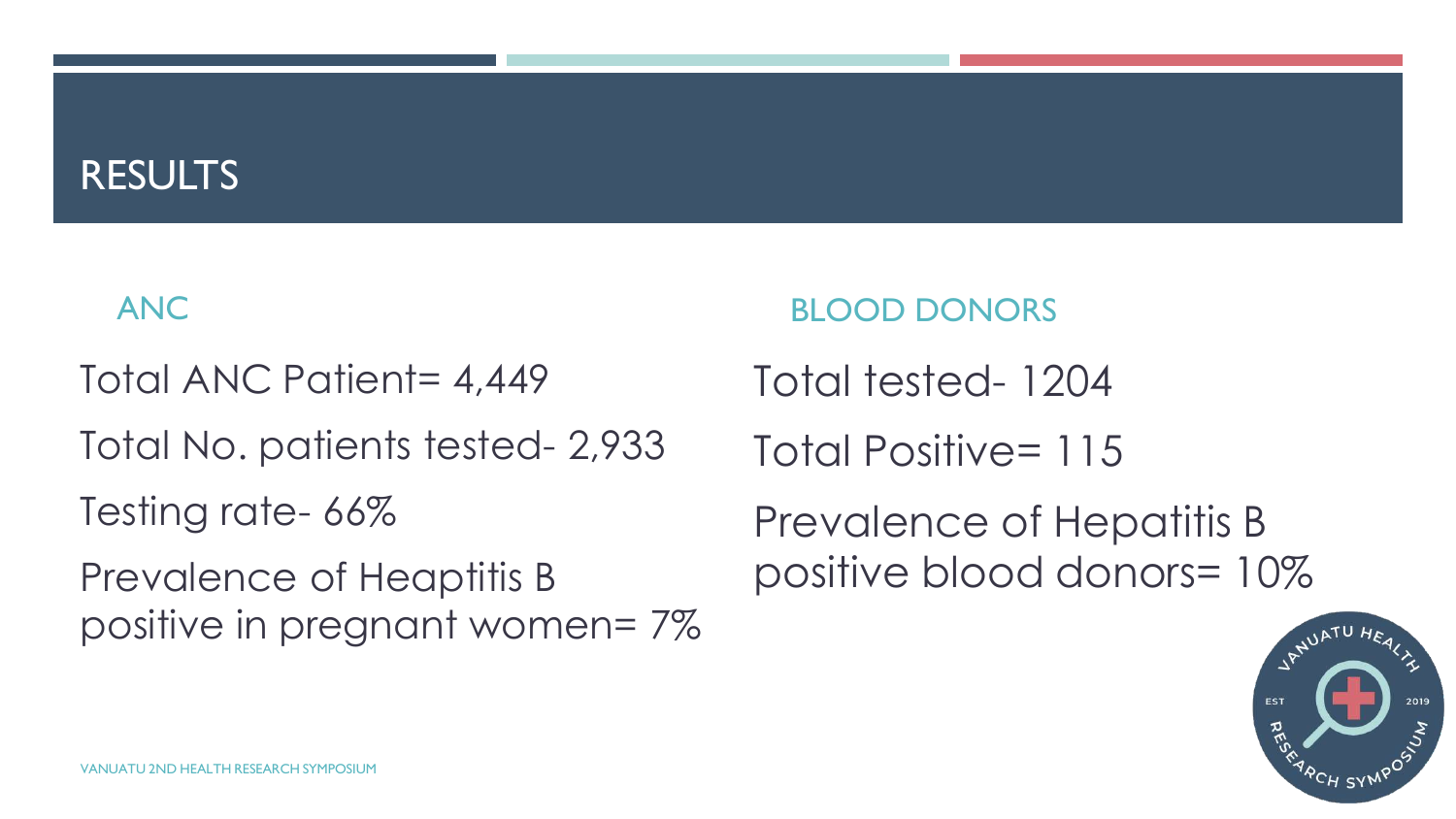### RESULTS

#### ANC

Total ANC Patient= 4,449

Total No. patients tested- 2,933

Testing rate- 66%

Prevalence of Heaptitis B positive in pregnant women= 7%

#### BLOOD DONORS

Total tested- 1204

Total Positive= 115

Prevalence of Hepatitis B positive blood donors= 10%

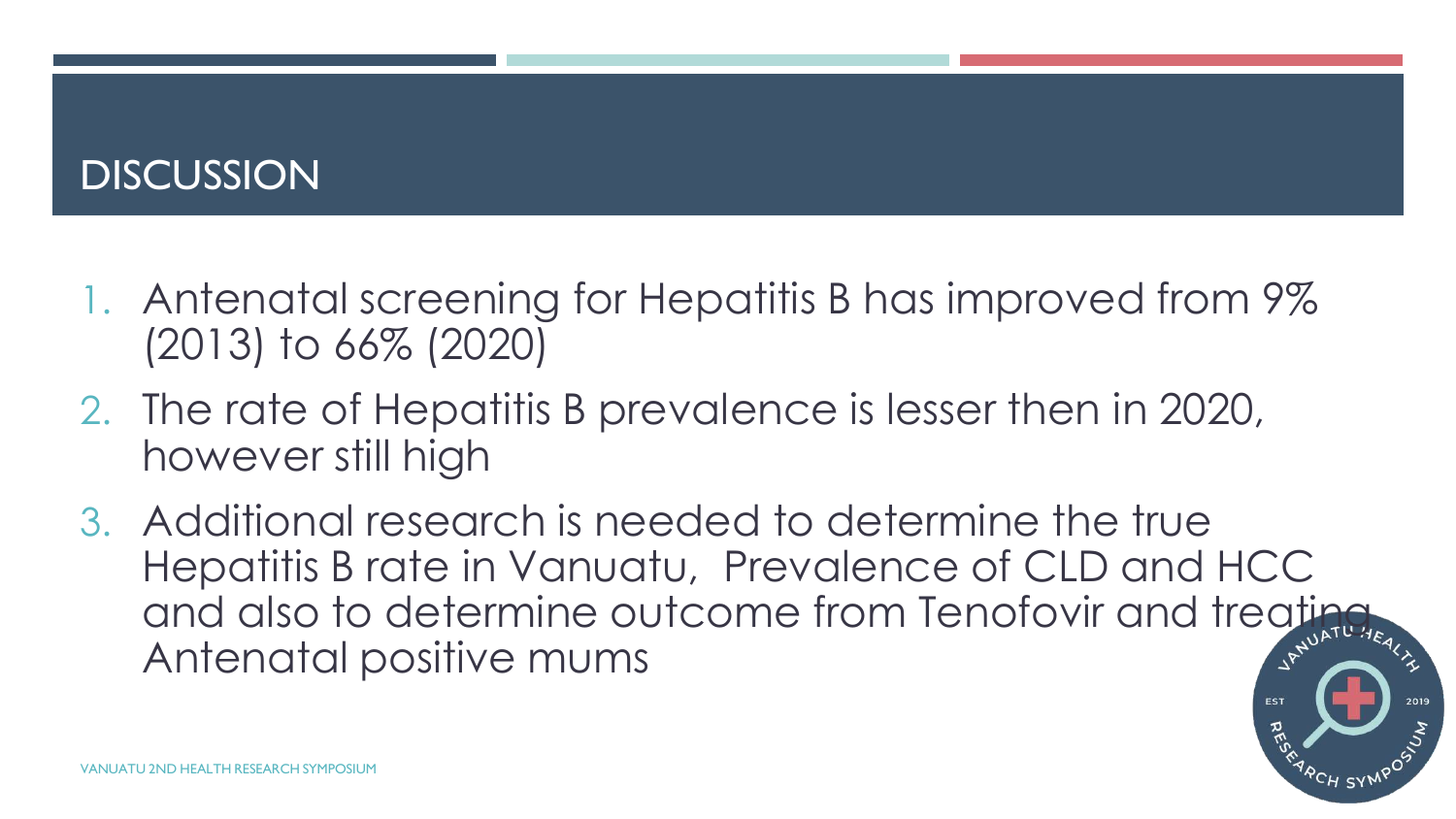## **DISCUSSION**

- 1. Antenatal screening for Hepatitis B has improved from 9% (2013) to 66% (2020)
- 2. The rate of Hepatitis B prevalence is lesser then in 2020, however still high
- 3. Additional research is needed to determine the true Hepatitis B rate in Vanuatu, Prevalence of CLD and HCC and also to determine outcome from Tenofovir and treating Antenatal positive mums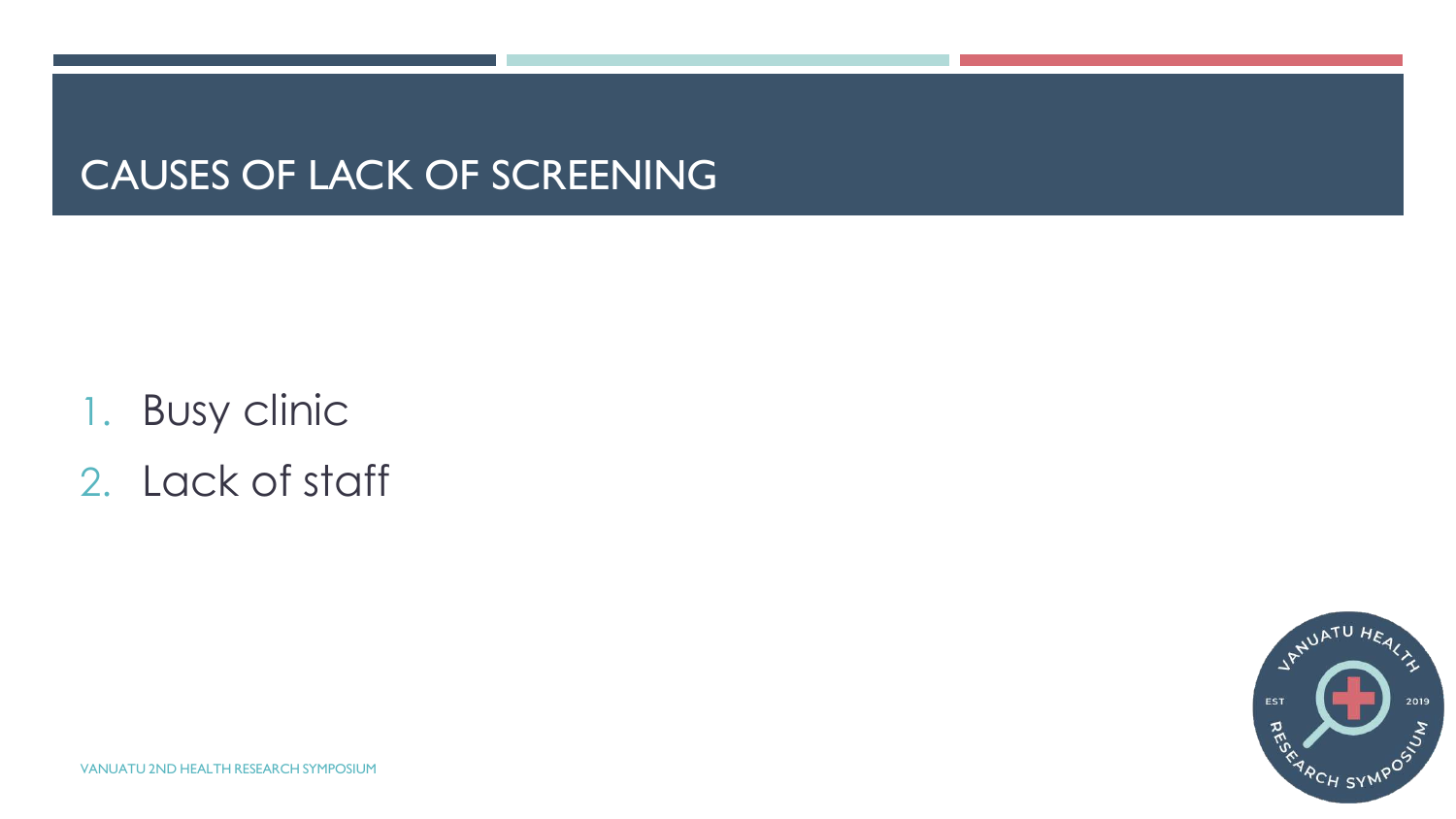## CAUSES OF LACK OF SCREENING

- 1. Busy clinic
- 2. Lack of staff

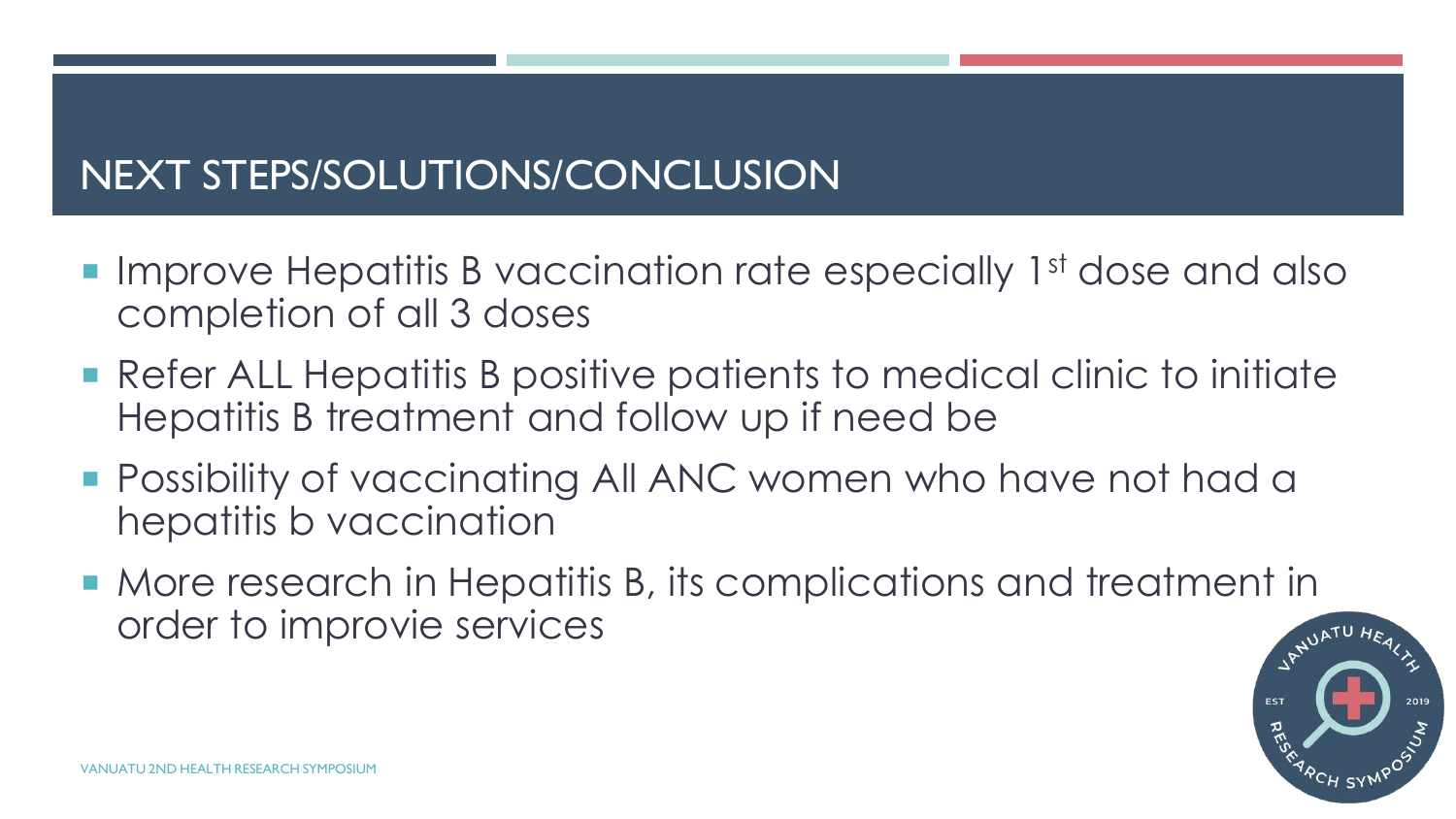## NEXT STEPS/SOLUTIONS/CONCLUSION

- Improve Hepatitis B vaccination rate especially 1<sup>st</sup> dose and also completion of all 3 doses
- Refer ALL Hepatitis B positive patients to medical clinic to initiate Hepatitis B treatment and follow up if need be
- **Possibility of vaccinating All ANC women who have not had a** hepatitis b vaccination
- More research in Hepatitis B, its complications and treatment in order to improvie services